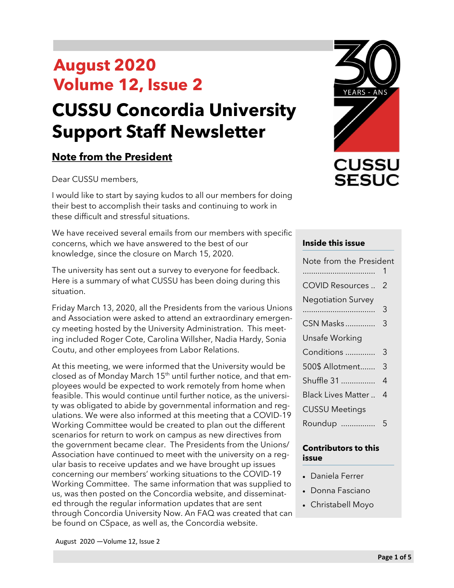# **August 2020 Volume 12, Issue 2 CUSSU Concordia University Support Staff Newsletter**

### **Note from the President**

Dear CUSSU members,

I would like to start by saying kudos to all our members for doing their best to accomplish their tasks and continuing to work in these difficult and stressful situations.

We have received several emails from our members with specific concerns, which we have answered to the best of our knowledge, since the closure on March 15, 2020.

The university has sent out a survey to everyone for feedback. Here is a summary of what CUSSU has been doing during this situation.

Friday March 13, 2020, all the Presidents from the various Unions and Association were asked to attend an extraordinary emergency meeting hosted by the University Administration. This meeting included Roger Cote, Carolina Willsher, Nadia Hardy, Sonia Coutu, and other employees from Labor Relations.

At this meeting, we were informed that the University would be closed as of Monday March  $15<sup>th</sup>$  until further notice, and that employees would be expected to work remotely from home when feasible. This would continue until further notice, as the university was obligated to abide by governmental information and regulations. We were also informed at this meeting that a COVID-19 Working Committee would be created to plan out the different scenarios for return to work on campus as new directives from the government became clear. The Presidents from the Unions/ Association have continued to meet with the university on a regular basis to receive updates and we have brought up issues concerning our members' working situations to the COVID-19 Working Committee. The same information that was supplied to us, was then posted on the Concordia website, and disseminated through the regular information updates that are sent through Concordia University Now. An FAQ was created that can be found on CSpace, as well as, the Concordia website.



#### **Inside this issue**

| Note from the President   |     |
|---------------------------|-----|
| COVID Resources           | - 2 |
| <b>Negotiation Survey</b> |     |
|                           | 3   |
| CSN Masks                 | 3   |
| Unsafe Working            |     |
| Conditions                | 3   |
| 500\$ Allotment           | 3   |
| Shuffle 31                | 4   |
| Black Lives Matter        | 4   |
| <b>CUSSU Meetings</b>     |     |
| Roundup                   | 5   |

#### **Contributors to this issue**

- Daniela Ferrer
- Donna Fasciano
- Christabell Moyo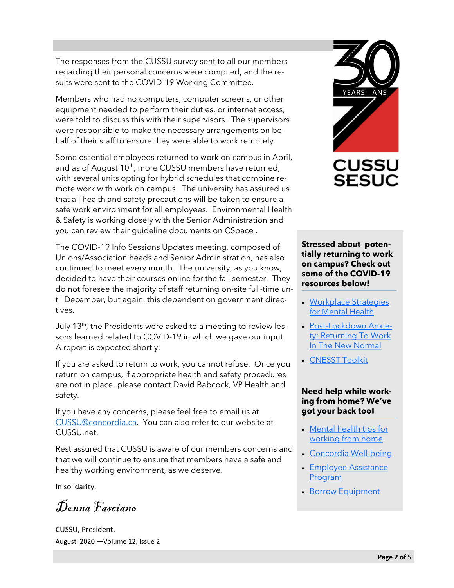The responses from the CUSSU survey sent to all our members regarding their personal concerns were compiled, and the results were sent to the COVID-19 Working Committee.

Members who had no computers, computer screens, or other equipment needed to perform their duties, or internet access, were told to discuss this with their supervisors. The supervisors were responsible to make the necessary arrangements on behalf of their staff to ensure they were able to work remotely.

Some essential employees returned to work on campus in April, and as of August 10<sup>th</sup>, more CUSSU members have returned, with several units opting for hybrid schedules that combine remote work with work on campus. The university has assured us that all health and safety precautions will be taken to ensure a safe work environment for all employees. Environmental Health & Safety is working closely with the Senior Administration and you can review their guideline documents on CSpace .

The COVID-19 Info Sessions Updates meeting, composed of Unions/Association heads and Senior Administration, has also continued to meet every month. The university, as you know, decided to have their courses online for the fall semester. They do not foresee the majority of staff returning on-site full-time until December, but again, this dependent on government directives.

July 13<sup>th</sup>, the Presidents were asked to a meeting to review lessons learned related to COVID-19 in which we gave our input. A report is expected shortly.

If you are asked to return to work, you cannot refuse. Once you return on campus, if appropriate health and safety procedures are not in place, please contact David Babcock, VP Health and safety.

If you have any concerns, please feel free to email us at [CUSSU@concordia.ca.](mailto:CUSSU@concordia.ca) You can also refer to our website at CUSSU.net.

Rest assured that CUSSU is aware of our members concerns and that we will continue to ensure that members have a safe and healthy working environment, as we deserve.

In solidarity,

Donna Fasciano

August 2020 —Volume 12, Issue 2 CUSSU, President.



#### **Stressed about potentially returning to work on campus? Check out some of the COVID-19 resources below!**

- [Workplace Strategies](https://www.workplacestrategiesformentalhealth.com/employee-resources/return-to-work-support)  [for Mental Health](https://www.workplacestrategiesformentalhealth.com/employee-resources/return-to-work-support)
- Post-[Lockdown Anxie](https://www.snapclarity.com/blog/post-lockdown-anxiety-returning-to-work-in-the-new-normal)[ty: Returning To Work](https://www.snapclarity.com/blog/post-lockdown-anxiety-returning-to-work-in-the-new-normal)  [In The New Normal](https://www.snapclarity.com/blog/post-lockdown-anxiety-returning-to-work-in-the-new-normal)
- [CNESST Toolkit](https://www.cnesst.gouv.qc.ca/salle-de-presse/covid-19-info-en/Pages/toolkit.aspx)

#### **Need help while working from home? We've got your back too!**

- [Mental health tips for](https://www.canada.ca/en/government/publicservice/covid-19/mental-health-tips.html)  [working from home](https://www.canada.ca/en/government/publicservice/covid-19/mental-health-tips.html)
- [Concordia Well](https://www.concordia.ca/coronavirus/wellbeing.html)-being
- [Employee Assistance](https://www.concordia.ca/hr/benefits/eap.html)  [Program](https://www.concordia.ca/hr/benefits/eap.html)
- [Borrow Equipment](https://www.concordia.ca/it/support/learn-teach-work-from-home.html#borrow)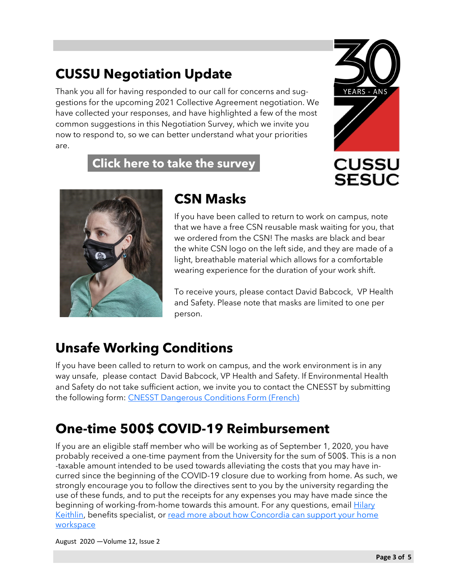## **CUSSU Negotiation Update**

Thank you all for having responded to our call for concerns and suggestions for the upcoming 2021 Collective Agreement negotiation. We have collected your responses, and have highlighted a few of the most common suggestions in this Negotiation Survey, which we invite you now to respond to, so we can better understand what your priorities are.

**[Click here to take the survey](https://forms.gle/Fqk836PxQP8QESFPA)**



**SESUC** 



### **CSN Masks**

If you have been called to return to work on campus, note that we have a free CSN reusable mask waiting for you, that we ordered from the CSN! The masks are black and bear the white CSN logo on the left side, and they are made of a light, breathable material which allows for a comfortable wearing experience for the duration of your work shift.

To receive yours, please contact David Babcock, VP Health and Safety. Please note that masks are limited to one per person.

# **Unsafe Working Conditions**

If you have been called to return to work on campus, and the work environment is in any way unsafe, please contact David Babcock, VP Health and Safety. If Environmental Health and Safety do not take sufficient action, we invite you to contact the CNESST by submitting the following form: [CNESST Dangerous Conditions Form \(French\)](https://drive.google.com/file/d/1nhhqZx_ftJU0gsQRWwKQ2X-qxbFxtwB2/view?usp=sharing)

## **One-time 500\$ COVID-19 Reimbursement**

If you are an eligible staff member who will be working as of September 1, 2020, you have probably received a one-time payment from the University for the sum of 500\$. This is a non -taxable amount intended to be used towards alleviating the costs that you may have incurred since the beginning of the COVID-19 closure due to working from home. As such, we strongly encourage you to follow the directives sent to you by the university regarding the use of these funds, and to put the receipts for any expenses you may have made since the beginning of working-from-home towards this amount. For any questions, email **Hilary** [Keithlin,](mailto:hilary.keithlin@concordia.ca) benefits specialist, or [read more about how Concordia can support your home](https://cspace.concordia.ca/content/shared/en/news/main/stories/2020/08/10/heres-how-concordia-can-support-your-remote-work-environment.html?utm_source=eblast) [workspace](https://cspace.concordia.ca/content/shared/en/news/main/stories/2020/08/10/heres-how-concordia-can-support-your-remote-work-environment.html?utm_source=eblast)

August 2020 —Volume 12, Issue 2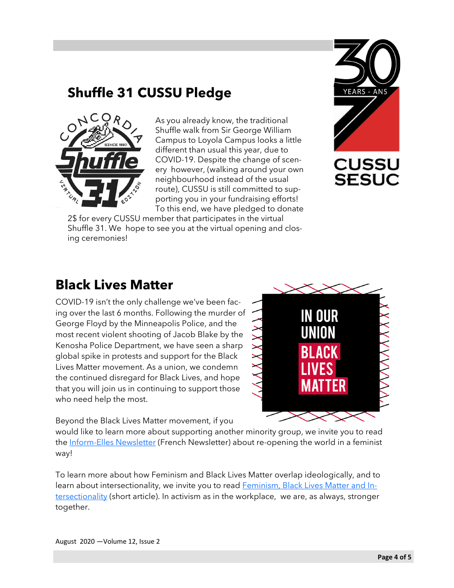### **Shuffle 31 CUSSU Pledge**



As you already know, the traditional Shuffle walk from Sir George William Campus to Loyola Campus looks a little different than usual this year, due to COVID-19. Despite the change of scenery however, (walking around your own neighbourhood instead of the usual route), CUSSU is still committed to supporting you in your fundraising efforts! To this end, we have pledged to donate

2\$ for every CUSSU member that participates in the virtual Shuffle 31. We hope to see you at the virtual opening and closing ceremonies!



### **Black Lives Matter**

COVID-19 isn't the only challenge we've been facing over the last 6 months. Following the murder of George Floyd by the Minneapolis Police, and the most recent violent shooting of Jacob Blake by the Kenosha Police Department, we have seen a sharp global spike in protests and support for the Black Lives Matter movement. As a union, we condemn the continued disregard for Black Lives, and hope that you will join us in continuing to support those who need help the most.



Beyond the Black Lives Matter movement, if you

would like to learn more about supporting another minority group, we invite you to read the Inform-[Elles Newsletter](https://drive.google.com/file/d/1wrijK6HARMuFyzu8WPEgDCydEy_kyI7J/view?usp=sharing) (French Newsletter) about re-opening the world in a feminist way!

To learn more about how Feminism and Black Lives Matter overlap ideologically, and to learn about intersectionality, we invite you to read **Feminism**, Black Lives Matter and In[tersectionality](https://www.thequint.com/neon/gender/feminism-black-lives-matter-movements-and-intersectionality) (short article). In activism as in the workplace, we are, as always, stronger together.